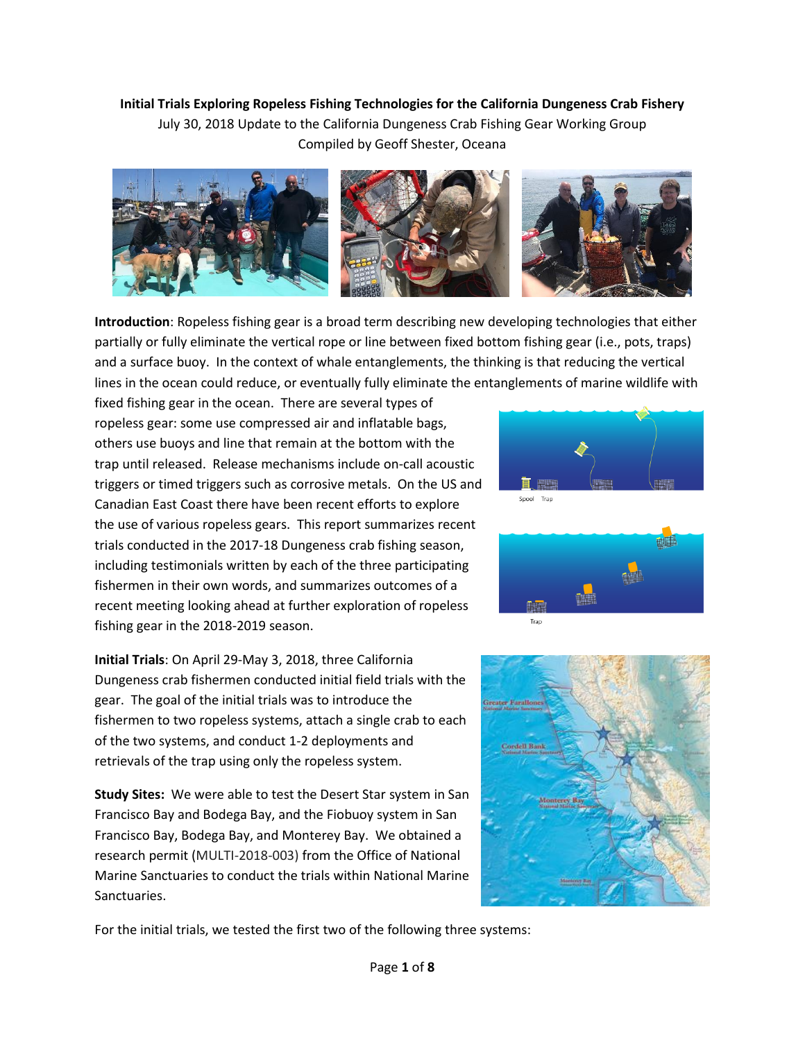**Initial Trials Exploring Ropeless Fishing Technologies for the California Dungeness Crab Fishery** July 30, 2018 Update to the California Dungeness Crab Fishing Gear Working Group Compiled by Geoff Shester, Oceana



**Introduction**: Ropeless fishing gear is a broad term describing new developing technologies that either partially or fully eliminate the vertical rope or line between fixed bottom fishing gear (i.e., pots, traps) and a surface buoy. In the context of whale entanglements, the thinking is that reducing the vertical lines in the ocean could reduce, or eventually fully eliminate the entanglements of marine wildlife with

 fixed fishing gear in the ocean. There are several types of others use buoys and line that remain at the bottom with the trap until released. Release mechanisms include on-call acoustic the use of various ropeless gears. This report summarizes recent ropeless gear: some use compressed air and inflatable bags, triggers or timed triggers such as corrosive metals. On the US and Canadian East Coast there have been recent efforts to explore trials conducted in the 2017-18 Dungeness crab fishing season, including testimonials written by each of the three participating fishermen in their own words, and summarizes outcomes of a recent meeting looking ahead at further exploration of ropeless fishing gear in the 2018-2019 season.

**Initial Trials**: On April 29-May 3, 2018, three California Dungeness crab fishermen conducted initial field trials with the gear. The goal of the initial trials was to introduce the fishermen to two ropeless systems, attach a single crab to each of the two systems, and conduct 1-2 deployments and retrievals of the trap using only the ropeless system.

 **Study Sites:** We were able to test the Desert Star system in San Francisco Bay and Bodega Bay, and the Fiobuoy system in San  Francisco Bay, Bodega Bay, and Monterey Bay. We obtained a research permit (MULTI-2018-003) from the Office of National Marine Sanctuaries to conduct the trials within National Marine Sanctuaries.







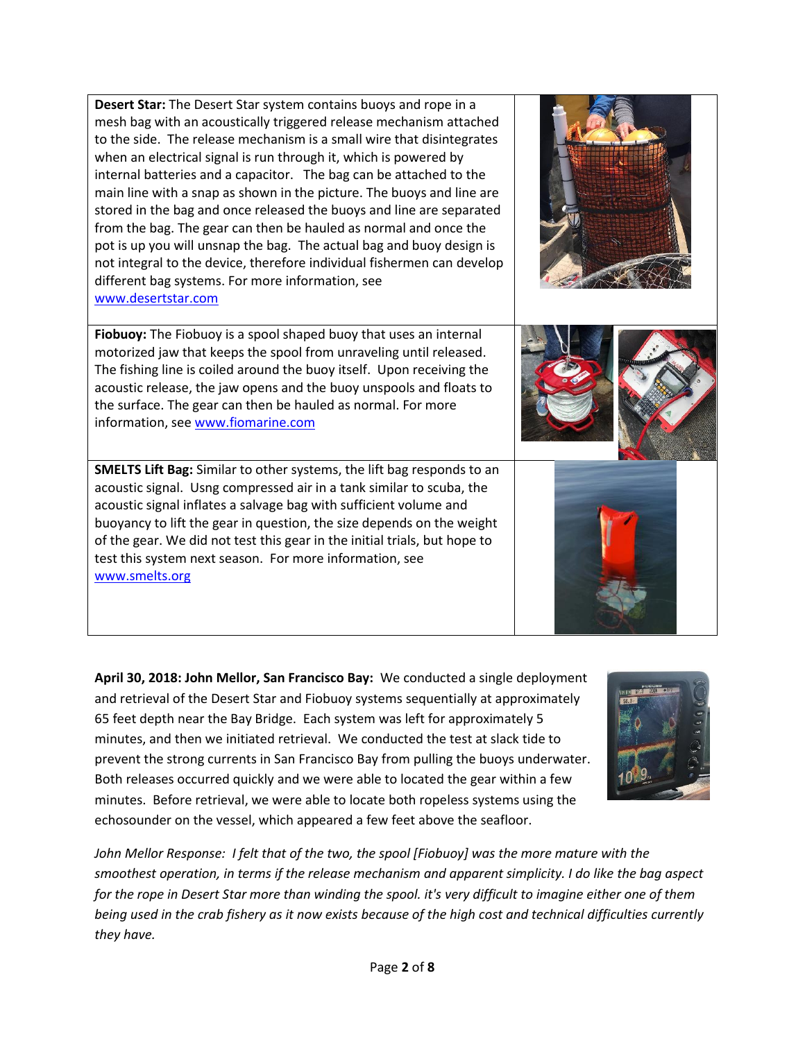to the side. The release mechanism is a small wire that disintegrates internal batteries and a capacitor. The bag can be attached to the pot is up you will unsnap the bag. The actual bag and buoy design is **Desert Star:** The Desert Star system contains buoys and rope in a mesh bag with an acoustically triggered release mechanism attached when an electrical signal is run through it, which is powered by main line with a snap as shown in the picture. The buoys and line are stored in the bag and once released the buoys and line are separated from the bag. The gear can then be hauled as normal and once the not integral to the device, therefore individual fishermen can develop different bag systems. For more information, see [www.desertstar.com](http://www.desertstar.com) 

**Fiobuoy:** The Fiobuoy is a spool shaped buoy that uses an internal motorized jaw that keeps the spool from unraveling until released. The fishing line is coiled around the buoy itself. Upon receiving the acoustic release, the jaw opens and the buoy unspools and floats to the surface. The gear can then be hauled as normal. For more information, see www.fiomarine.com

 acoustic signal. Usng compressed air in a tank similar to scuba, the **SMELTS Lift Bag:** Similar to other systems, the lift bag responds to an acoustic signal inflates a salvage bag with sufficient volume and buoyancy to lift the gear in question, the size depends on the weight of the gear. We did not test this gear in the initial trials, but hope to test this system next season. For more information, see [www.smelts.org](http://www.smelts.org) 

 **April 30, 2018: John Mellor, San Francisco Bay:** We conducted a single deployment 65 feet depth near the Bay Bridge. Each system was left for approximately 5 minutes, and then we initiated retrieval. We conducted the test at slack tide to prevent the strong currents in San Francisco Bay from pulling the buoys underwater. prevent the strong currents in San Francisco Bay from pulling the buoys underwater.<br>Both releases occurred quickly and we were able to located the gear within a few minutes. Before retrieval, we were able to locate both ropeless systems using the echosounder on the vessel, which appeared a few feet above the seafloor. and retrieval of the Desert Star and Fiobuoy systems sequentially at approximately

 *John Mellor Response: I felt that of the two, the spool [Fiobuoy] was the more mature with the smoothest operation, in terms if the release mechanism and apparent simplicity. I do like the bag aspect for the rope in Desert Star more than winding the spool. it's very difficult to imagine either one of them being used in the crab fishery as it now exists because of the high cost and technical difficulties currently they have.* 







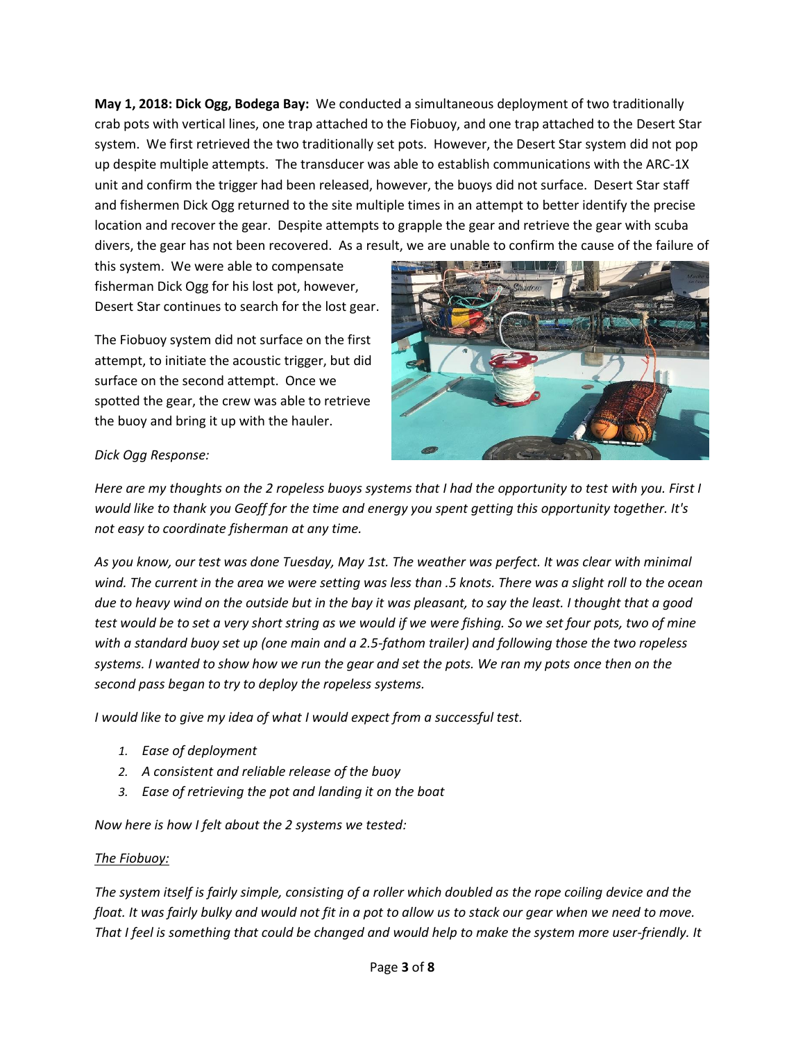**May 1, 2018: Dick Ogg, Bodega Bay:** We conducted a simultaneous deployment of two traditionally and fishermen Dick Ogg returned to the site multiple times in an attempt to better identify the precise location and recover the gear. Despite attempts to grapple the gear and retrieve the gear with scuba divers, the gear has not been recovered. As a result, we are unable to confirm the cause of the failure of crab pots with vertical lines, one trap attached to the Fiobuoy, and one trap attached to the Desert Star system. We first retrieved the two traditionally set pots. However, the Desert Star system did not pop up despite multiple attempts. The transducer was able to establish communications with the ARC-1X unit and confirm the trigger had been released, however, the buoys did not surface. Desert Star staff

this system. We were able to compensate fisherman Dick Ogg for his lost pot, however, Desert Star continues to search for the lost gear.

The Fiobuoy system did not surface on the first attempt, to initiate the acoustic trigger, but did surface on the second attempt. Once we spotted the gear, the crew was able to retrieve the buoy and bring it up with the hauler.



# *Dick Ogg Response:*

*Here are my thoughts on the 2 ropeless buoys systems that I had the opportunity to test with you. First I would like to thank you Geoff for the time and energy you spent getting this opportunity together. It's not easy to coordinate fisherman at any time.* 

 *As you know, our test was done Tuesday, May 1st. The weather was perfect. It was clear with minimal wind. The current in the area we were setting was less than .5 knots. There was a slight roll to the ocean due to heavy wind on the outside but in the bay it was pleasant, to say the least. I thought that a good test would be to set a very short string as we would if we were fishing. So we set four pots, two of mine with a standard buoy set up (one main and a 2.5-fathom trailer) and following those the two ropeless systems. I wanted to show how we run the gear and set the pots. We ran my pots once then on the second pass began to try to deploy the ropeless systems.* 

*I would like to give my idea of what I would expect from a successful test.* 

- *1. Ease of deployment*
- *2. A consistent and reliable release of the buoy*
- *3. Ease of retrieving the pot and landing it on the boat*

*Now here is how I felt about the 2 systems we tested:* 

#### *The Fiobuoy:*

*The system itself is fairly simple, consisting of a roller which doubled as the rope coiling device and the float. It was fairly bulky and would not fit in a pot to allow us to stack our gear when we need to move. That I feel is something that could be changed and would help to make the system more user-friendly. It*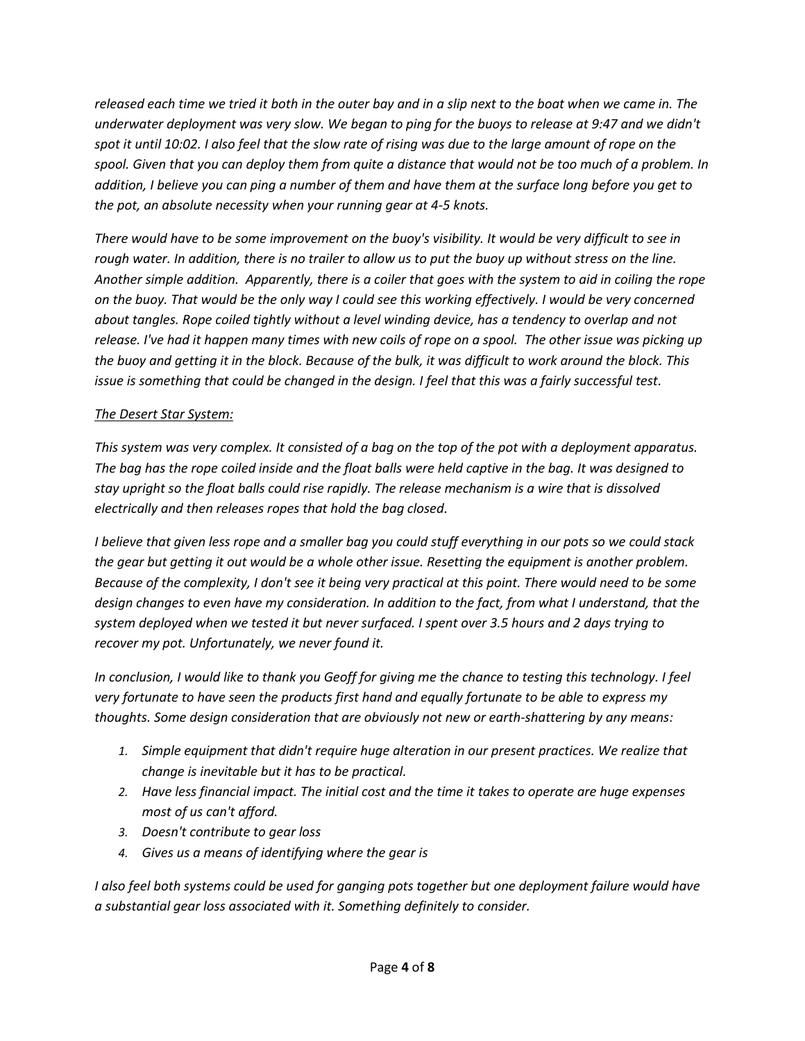*released each time we tried it both in the outer bay and in a slip next to the boat when we came in. The underwater deployment was very slow. We began to ping for the buoys to release at 9:47 and we didn't spot it until 10:02. I also feel that the slow rate of rising was due to the large amount of rope on the spool. Given that you can deploy them from quite a distance that would not be too much of a problem. In addition, I believe you can ping a number of them and have them at the surface long before you get to the pot, an absolute necessity when your running gear at 4-5 knots.* 

*There would have to be some improvement on the buoy's visibility. It would be very difficult to see in rough water. In addition, there is no trailer to allow us to put the buoy up without stress on the line. Another simple addition. Apparently, there is a coiler that goes with the system to aid in coiling the rope on the buoy. That would be the only way I could see this working effectively. I would be very concerned about tangles. Rope coiled tightly without a level winding device, has a tendency to overlap and not release. I've had it happen many times with new coils of rope on a spool. The other issue was picking up the buoy and getting it in the block. Because of the bulk, it was difficult to work around the block. This issue is something that could be changed in the design. I feel that this was a fairly successful test.* 

# *The Desert Star System:*

*This system was very complex. It consisted of a bag on the top of the pot with a deployment apparatus. The bag has the rope coiled inside and the float balls were held captive in the bag. It was designed to stay upright so the float balls could rise rapidly. The release mechanism is a wire that is dissolved electrically and then releases ropes that hold the bag closed.* 

*I believe that given less rope and a smaller bag you could stuff everything in our pots so we could stack the gear but getting it out would be a whole other issue. Resetting the equipment is another problem. Because of the complexity, I don't see it being very practical at this point. There would need to be some design changes to even have my consideration. In addition to the fact, from what I understand, that the system deployed when we tested it but never surfaced. I spent over 3.5 hours and 2 days trying to recover my pot. Unfortunately, we never found it.* 

*In conclusion, I would like to thank you Geoff for giving me the chance to testing this technology. I feel very fortunate to have seen the products first hand and equally fortunate to be able to express my thoughts. Some design consideration that are obviously not new or earth-shattering by any means:* 

- *1. Simple equipment that didn't require huge alteration in our present practices. We realize that change is inevitable but it has to be practical.*
- *2. Have less financial impact. The initial cost and the time it takes to operate are huge expenses most of us can't afford.*
- *3. Doesn't contribute to gear loss*
- *4. Gives us a means of identifying where the gear is*

*I* also feel both systems could be used for ganging pots together but one deployment failure would have *a substantial gear loss associated with it. Something definitely to consider.*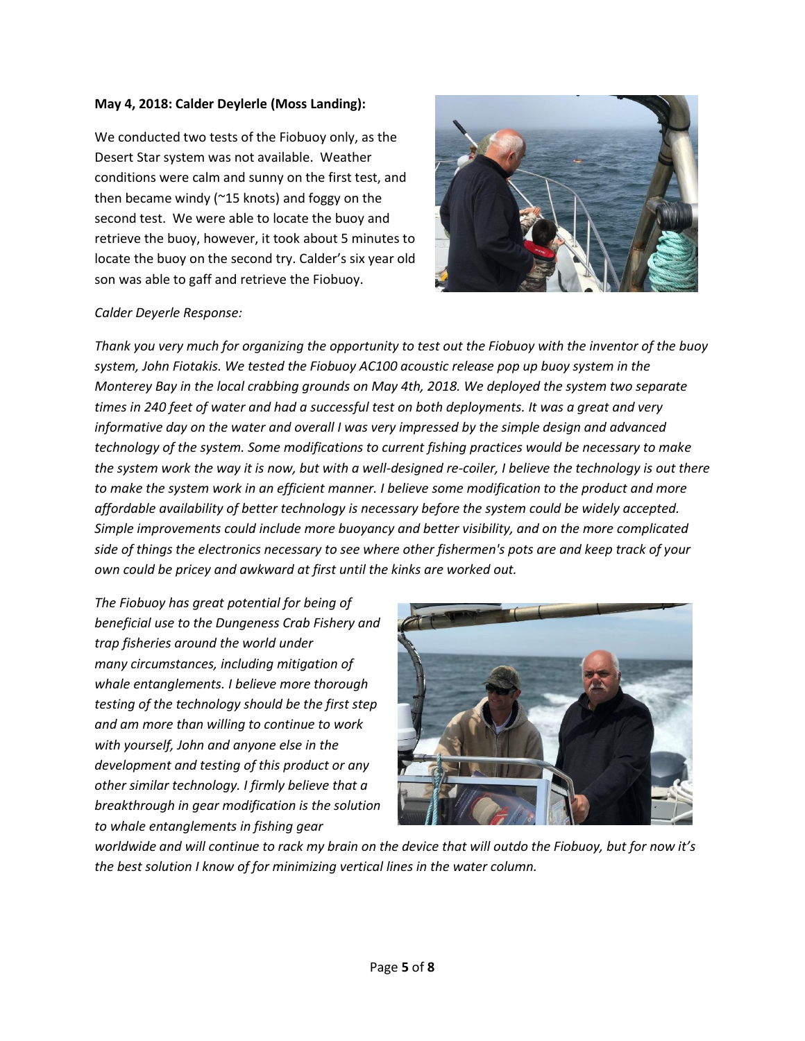#### **May 4, 2018: Calder Deylerle (Moss Landing):**

 then became windy (~15 knots) and foggy on the second test. We were able to locate the buoy and retrieve the buoy, however, it took about 5 minutes to We conducted two tests of the Fiobuoy only, as the Desert Star system was not available. Weather conditions were calm and sunny on the first test, and locate the buoy on the second try. Calder's six year old son was able to gaff and retrieve the Fiobuoy.



## *Calder Deyerle Response:*

*Thank you very much for organizing the opportunity to test out the Fiobuoy with the inventor of the buoy system, John Fiotakis. We tested the Fiobuoy AC100 acoustic release pop up buoy system in the Monterey Bay in the local crabbing grounds on May 4th, 2018. We deployed the system two separate times in 240 feet of water and had a successful test on both deployments. It was a great and very informative day on the water and overall I was very impressed by the simple design and advanced technology of the system. Some modifications to current fishing practices would be necessary to make the system work the way it is now, but with a well-designed re-coiler, I believe the technology is out there to make the system work in an efficient manner. I believe some modification to the product and more affordable availability of better technology is necessary before the system could be widely accepted. Simple improvements could include more buoyancy and better visibility, and on the more complicated side of things the electronics necessary to see where other fishermen's pots are and keep track of your own could be pricey and awkward at first until the kinks are worked out.* 

 *to whale entanglements in fishing gear The Fiobuoy has great potential for being of beneficial use to the Dungeness Crab Fishery and trap fisheries around the world under many circumstances, including mitigation of whale entanglements. I believe more thorough testing of the technology should be the first step and am more than willing to continue to work with yourself, John and anyone else in the development and testing of this product or any other similar technology. I firmly believe that a breakthrough in gear modification is the solution* 



*worldwide and will continue to rack my brain on the device that will outdo the Fiobuoy, but for now it's the best solution I know of for minimizing vertical lines in the water column.*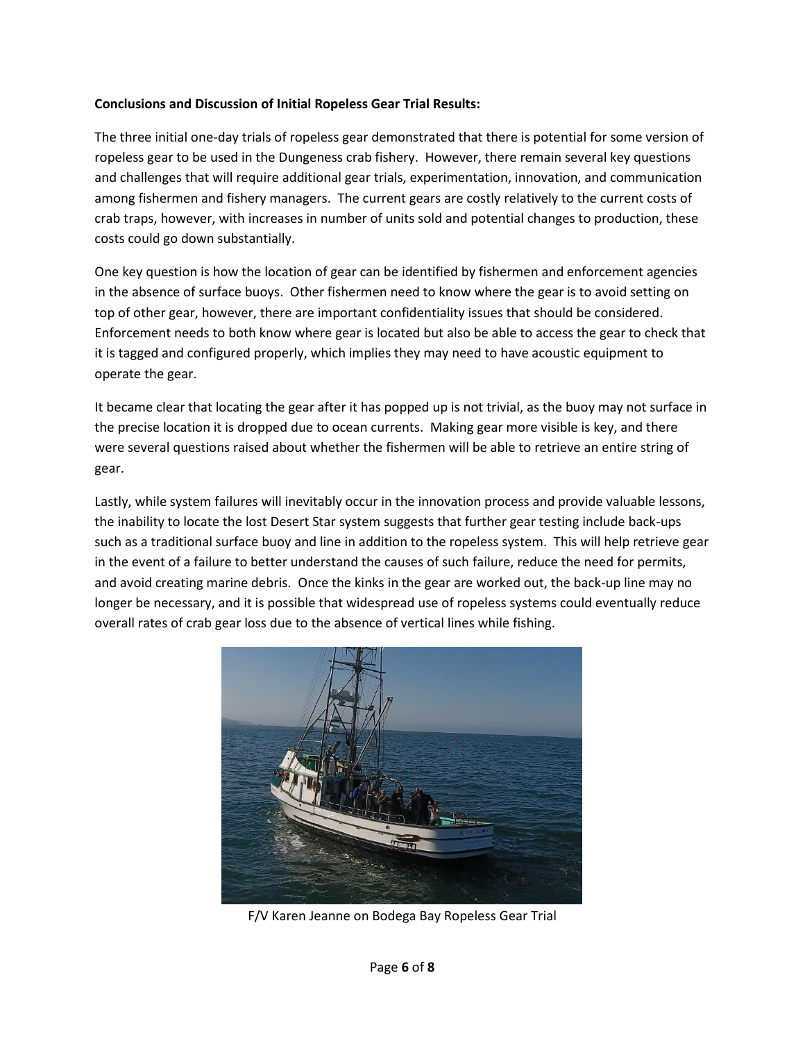# **Conclusions and Discussion of Initial Ropeless Gear Trial Results:**

 among fishermen and fishery managers. The current gears are costly relatively to the current costs of The three initial one-day trials of ropeless gear demonstrated that there is potential for some version of ropeless gear to be used in the Dungeness crab fishery. However, there remain several key questions and challenges that will require additional gear trials, experimentation, innovation, and communication crab traps, however, with increases in number of units sold and potential changes to production, these costs could go down substantially.

operate the gear. One key question is how the location of gear can be identified by fishermen and enforcement agencies in the absence of surface buoys. Other fishermen need to know where the gear is to avoid setting on top of other gear, however, there are important confidentiality issues that should be considered. Enforcement needs to both know where gear is located but also be able to access the gear to check that it is tagged and configured properly, which implies they may need to have acoustic equipment to

It became clear that locating the gear after it has popped up is not trivial, as the buoy may not surface in the precise location it is dropped due to ocean currents. Making gear more visible is key, and there were several questions raised about whether the fishermen will be able to retrieve an entire string of gear.

 such as a traditional surface buoy and line in addition to the ropeless system. This will help retrieve gear and avoid creating marine debris. Once the kinks in the gear are worked out, the back-up line may no Lastly, while system failures will inevitably occur in the innovation process and provide valuable lessons, the inability to locate the lost Desert Star system suggests that further gear testing include back-ups in the event of a failure to better understand the causes of such failure, reduce the need for permits, longer be necessary, and it is possible that widespread use of ropeless systems could eventually reduce overall rates of crab gear loss due to the absence of vertical lines while fishing.



F/V Karen Jeanne on Bodega Bay Ropeless Gear Trial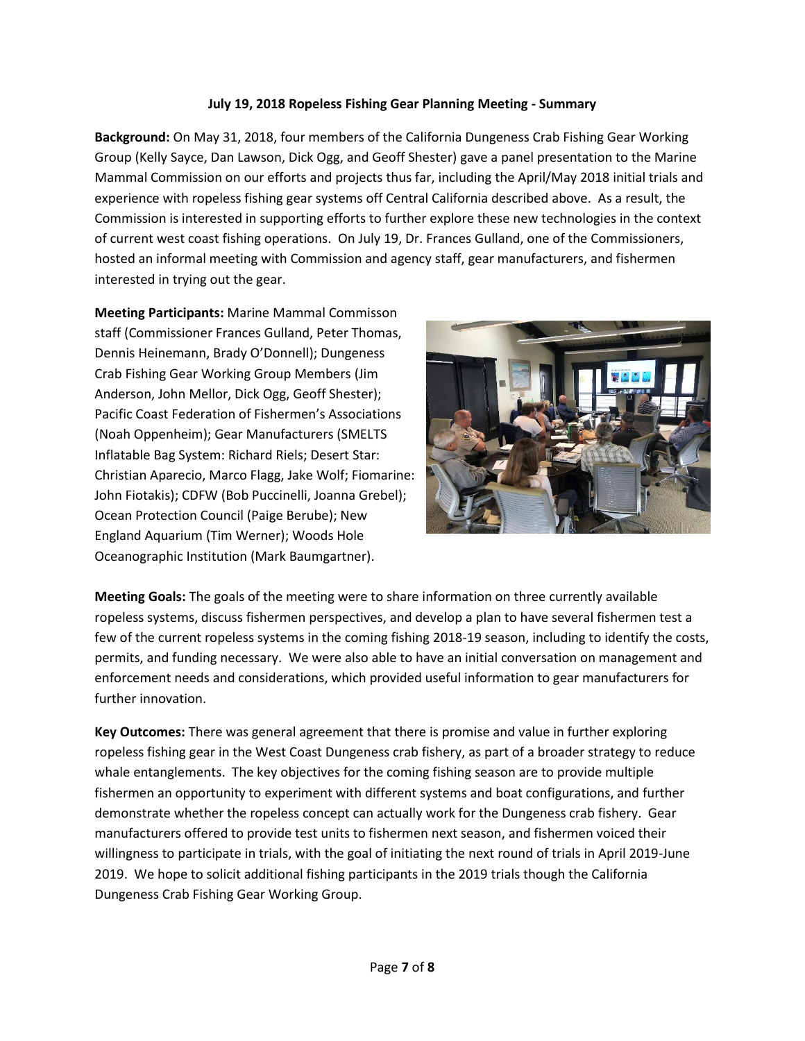## **July 19, 2018 Ropeless Fishing Gear Planning Meeting - Summary**

 Group (Kelly Sayce, Dan Lawson, Dick Ogg, and Geoff Shester) gave a panel presentation to the Marine **Background:** On May 31, 2018, four members of the California Dungeness Crab Fishing Gear Working Mammal Commission on our efforts and projects thus far, including the April/May 2018 initial trials and experience with ropeless fishing gear systems off Central California described above. As a result, the Commission is interested in supporting efforts to further explore these new technologies in the context of current west coast fishing operations. On July 19, Dr. Frances Gulland, one of the Commissioners, hosted an informal meeting with Commission and agency staff, gear manufacturers, and fishermen interested in trying out the gear.

 Ocean Protection Council (Paige Berube); New **Meeting Participants:** Marine Mammal Commisson staff (Commissioner Frances Gulland, Peter Thomas, Dennis Heinemann, Brady O'Donnell); Dungeness Crab Fishing Gear Working Group Members (Jim Anderson, John Mellor, Dick Ogg, Geoff Shester); Pacific Coast Federation of Fishermen's Associations (Noah Oppenheim); Gear Manufacturers (SMELTS Inflatable Bag System: Richard Riels; Desert Star: Christian Aparecio, Marco Flagg, Jake Wolf; Fiomarine: John Fiotakis); CDFW (Bob Puccinelli, Joanna Grebel); England Aquarium (Tim Werner); Woods Hole Oceanographic Institution (Mark Baumgartner).



 **Meeting Goals:** The goals of the meeting were to share information on three currently available permits, and funding necessary. We were also able to have an initial conversation on management and ropeless systems, discuss fishermen perspectives, and develop a plan to have several fishermen test a few of the current ropeless systems in the coming fishing 2018-19 season, including to identify the costs, enforcement needs and considerations, which provided useful information to gear manufacturers for further innovation.

 2019. We hope to solicit additional fishing participants in the 2019 trials though the California **Key Outcomes:** There was general agreement that there is promise and value in further exploring ropeless fishing gear in the West Coast Dungeness crab fishery, as part of a broader strategy to reduce whale entanglements. The key objectives for the coming fishing season are to provide multiple fishermen an opportunity to experiment with different systems and boat configurations, and further demonstrate whether the ropeless concept can actually work for the Dungeness crab fishery. Gear manufacturers offered to provide test units to fishermen next season, and fishermen voiced their willingness to participate in trials, with the goal of initiating the next round of trials in April 2019-June Dungeness Crab Fishing Gear Working Group.